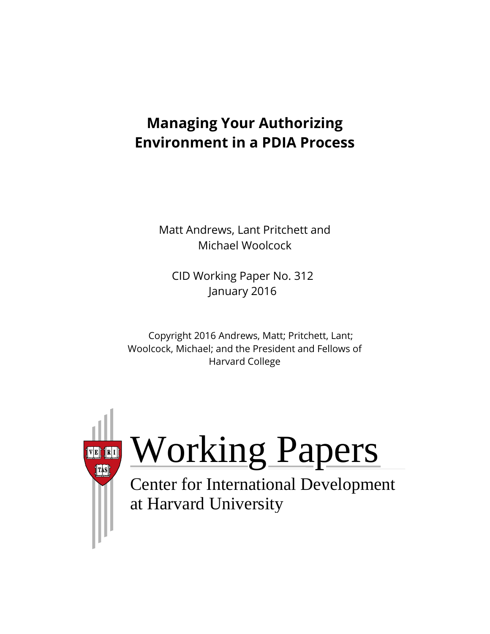# **Managing Your Authorizing Environment in a PDIA Process**

Matt Andrews, Lant Pritchett and Michael Woolcock

CID Working Paper No. 312 January 2016

 Copyright 2016 Andrews, Matt; Pritchett, Lant; Woolcock, Michael; and the President and Fellows of Harvard College

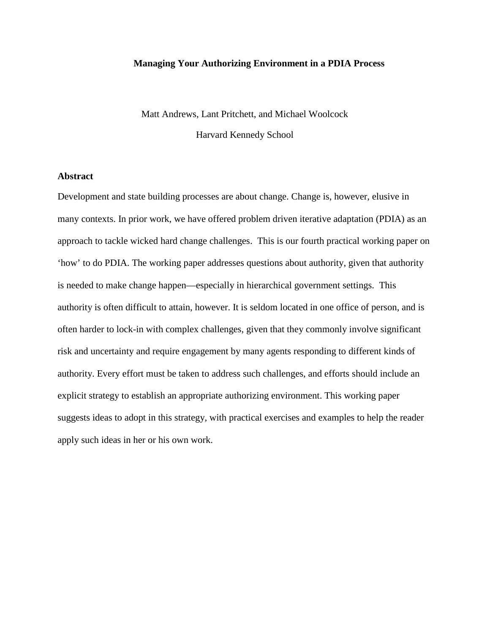## **Managing Your Authorizing Environment in a PDIA Process**

Matt Andrews, Lant Pritchett, and Michael Woolcock

Harvard Kennedy School

## **Abstract**

Development and state building processes are about change. Change is, however, elusive in many contexts. In prior work, we have offered problem driven iterative adaptation (PDIA) as an approach to tackle wicked hard change challenges. This is our fourth practical working paper on 'how' to do PDIA. The working paper addresses questions about authority, given that authority is needed to make change happen—especially in hierarchical government settings. This authority is often difficult to attain, however. It is seldom located in one office of person, and is often harder to lock-in with complex challenges, given that they commonly involve significant risk and uncertainty and require engagement by many agents responding to different kinds of authority. Every effort must be taken to address such challenges, and efforts should include an explicit strategy to establish an appropriate authorizing environment. This working paper suggests ideas to adopt in this strategy, with practical exercises and examples to help the reader apply such ideas in her or his own work.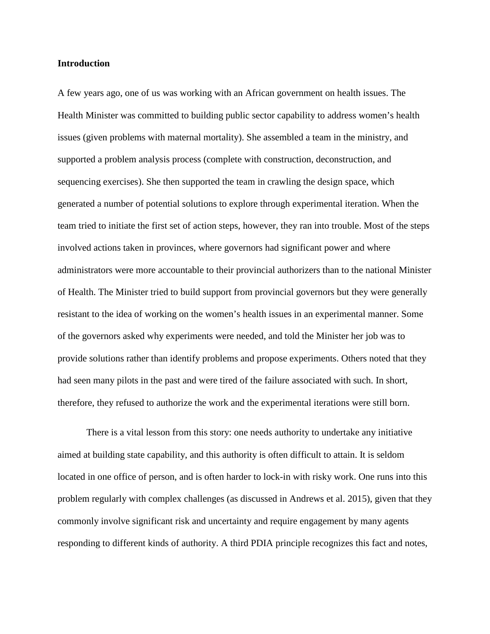## **Introduction**

A few years ago, one of us was working with an African government on health issues. The Health Minister was committed to building public sector capability to address women's health issues (given problems with maternal mortality). She assembled a team in the ministry, and supported a problem analysis process (complete with construction, deconstruction, and sequencing exercises). She then supported the team in crawling the design space, which generated a number of potential solutions to explore through experimental iteration. When the team tried to initiate the first set of action steps, however, they ran into trouble. Most of the steps involved actions taken in provinces, where governors had significant power and where administrators were more accountable to their provincial authorizers than to the national Minister of Health. The Minister tried to build support from provincial governors but they were generally resistant to the idea of working on the women's health issues in an experimental manner. Some of the governors asked why experiments were needed, and told the Minister her job was to provide solutions rather than identify problems and propose experiments. Others noted that they had seen many pilots in the past and were tired of the failure associated with such. In short, therefore, they refused to authorize the work and the experimental iterations were still born.

There is a vital lesson from this story: one needs authority to undertake any initiative aimed at building state capability, and this authority is often difficult to attain. It is seldom located in one office of person, and is often harder to lock-in with risky work. One runs into this problem regularly with complex challenges (as discussed in Andrews et al. 2015), given that they commonly involve significant risk and uncertainty and require engagement by many agents responding to different kinds of authority. A third PDIA principle recognizes this fact and notes,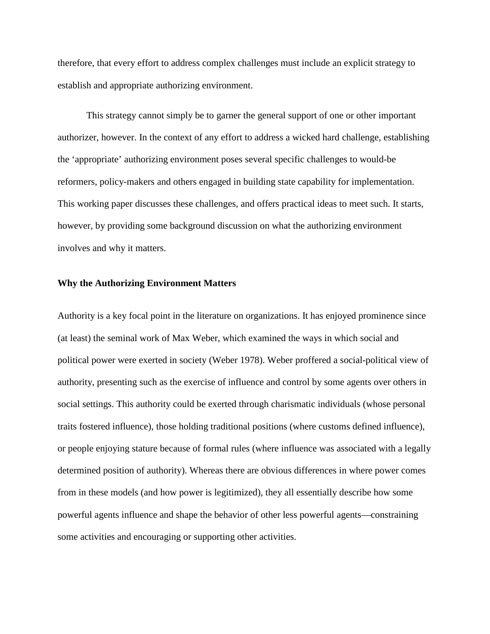therefore, that every effort to address complex challenges must include an explicit strategy to establish and appropriate authorizing environment.

This strategy cannot simply be to garner the general support of one or other important authorizer, however. In the context of any effort to address a wicked hard challenge, establishing the 'appropriate' authorizing environment poses several specific challenges to would-be reformers, policy-makers and others engaged in building state capability for implementation. This working paper discusses these challenges, and offers practical ideas to meet such. It starts, however, by providing some background discussion on what the authorizing environment involves and why it matters.

## **Why the Authorizing Environment Matters**

Authority is a key focal point in the literature on organizations. It has enjoyed prominence since (at least) the seminal work of Max Weber, which examined the ways in which social and political power were exerted in society (Weber 1978). Weber proffered a social-political view of authority, presenting such as the exercise of influence and control by some agents over others in social settings. This authority could be exerted through charismatic individuals (whose personal traits fostered influence), those holding traditional positions (where customs defined influence), or people enjoying stature because of formal rules (where influence was associated with a legally determined position of authority). Whereas there are obvious differences in where power comes from in these models (and how power is legitimized), they all essentially describe how some powerful agents influence and shape the behavior of other less powerful agents—constraining some activities and encouraging or supporting other activities.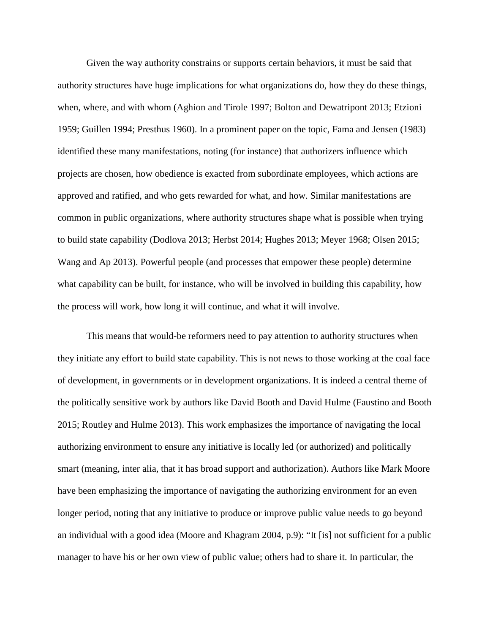Given the way authority constrains or supports certain behaviors, it must be said that authority structures have huge implications for what organizations do, how they do these things, when, where, and with whom (Aghion and Tirole 1997; Bolton and Dewatripont 2013; Etzioni 1959; Guillen 1994; Presthus 1960). In a prominent paper on the topic, Fama and Jensen (1983) identified these many manifestations, noting (for instance) that authorizers influence which projects are chosen, how obedience is exacted from subordinate employees, which actions are approved and ratified, and who gets rewarded for what, and how. Similar manifestations are common in public organizations, where authority structures shape what is possible when trying to build state capability (Dodlova 2013; Herbst 2014; Hughes 2013; Meyer 1968; Olsen 2015; Wang and Ap 2013). Powerful people (and processes that empower these people) determine what capability can be built, for instance, who will be involved in building this capability, how the process will work, how long it will continue, and what it will involve.

This means that would-be reformers need to pay attention to authority structures when they initiate any effort to build state capability. This is not news to those working at the coal face of development, in governments or in development organizations. It is indeed a central theme of the politically sensitive work by authors like David Booth and David Hulme (Faustino and Booth 2015; Routley and Hulme 2013). This work emphasizes the importance of navigating the local authorizing environment to ensure any initiative is locally led (or authorized) and politically smart (meaning, inter alia, that it has broad support and authorization). Authors like Mark Moore have been emphasizing the importance of navigating the authorizing environment for an even longer period, noting that any initiative to produce or improve public value needs to go beyond an individual with a good idea (Moore and Khagram 2004, p.9): "It [is] not sufficient for a public manager to have his or her own view of public value; others had to share it. In particular, the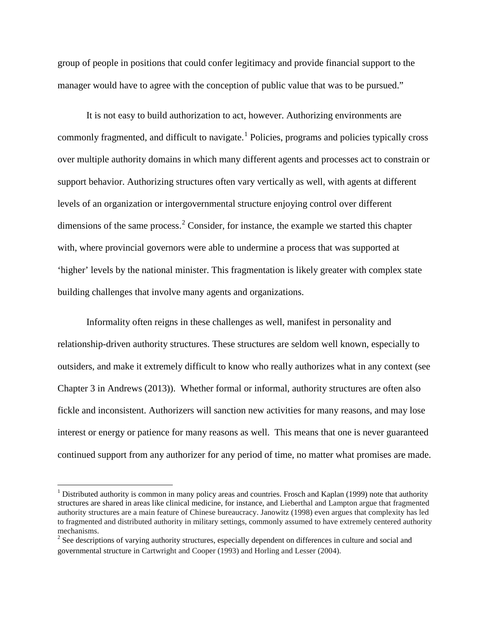group of people in positions that could confer legitimacy and provide financial support to the manager would have to agree with the conception of public value that was to be pursued."

It is not easy to build authorization to act, however. Authorizing environments are commonly fragmented, and difficult to navigate.<sup>[1](#page-5-0)</sup> Policies, programs and policies typically cross over multiple authority domains in which many different agents and processes act to constrain or support behavior. Authorizing structures often vary vertically as well, with agents at different levels of an organization or intergovernmental structure enjoying control over different dimensions of the same process.<sup>[2](#page-5-1)</sup> Consider, for instance, the example we started this chapter with, where provincial governors were able to undermine a process that was supported at 'higher' levels by the national minister. This fragmentation is likely greater with complex state building challenges that involve many agents and organizations.

Informality often reigns in these challenges as well, manifest in personality and relationship-driven authority structures. These structures are seldom well known, especially to outsiders, and make it extremely difficult to know who really authorizes what in any context (see Chapter 3 in Andrews (2013)). Whether formal or informal, authority structures are often also fickle and inconsistent. Authorizers will sanction new activities for many reasons, and may lose interest or energy or patience for many reasons as well. This means that one is never guaranteed continued support from any authorizer for any period of time, no matter what promises are made.

<span id="page-5-0"></span><sup>&</sup>lt;sup>1</sup> Distributed authority is common in many policy areas and countries. Frosch and Kaplan (1999) note that authority structures are shared in areas like clinical medicine, for instance, and Lieberthal and Lampton argue that fragmented authority structures are a main feature of Chinese bureaucracy. Janowitz (1998) even argues that complexity has led to fragmented and distributed authority in military settings, commonly assumed to have extremely centered authority mechanisms.

<span id="page-5-1"></span><sup>&</sup>lt;sup>2</sup> See descriptions of varying authority structures, especially dependent on differences in culture and social and governmental structure in Cartwright and Cooper (1993) and Horling and Lesser (2004).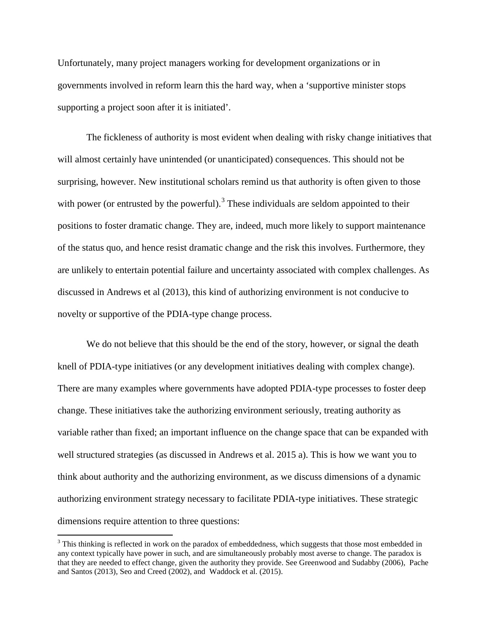Unfortunately, many project managers working for development organizations or in governments involved in reform learn this the hard way, when a 'supportive minister stops supporting a project soon after it is initiated'.

The fickleness of authority is most evident when dealing with risky change initiatives that will almost certainly have unintended (or unanticipated) consequences. This should not be surprising, however. New institutional scholars remind us that authority is often given to those with power (or entrusted by the powerful).<sup>[3](#page-6-0)</sup> These individuals are seldom appointed to their positions to foster dramatic change. They are, indeed, much more likely to support maintenance of the status quo, and hence resist dramatic change and the risk this involves. Furthermore, they are unlikely to entertain potential failure and uncertainty associated with complex challenges. As discussed in Andrews et al (2013), this kind of authorizing environment is not conducive to novelty or supportive of the PDIA-type change process.

We do not believe that this should be the end of the story, however, or signal the death knell of PDIA-type initiatives (or any development initiatives dealing with complex change). There are many examples where governments have adopted PDIA-type processes to foster deep change. These initiatives take the authorizing environment seriously, treating authority as variable rather than fixed; an important influence on the change space that can be expanded with well structured strategies (as discussed in Andrews et al. 2015 a). This is how we want you to think about authority and the authorizing environment, as we discuss dimensions of a dynamic authorizing environment strategy necessary to facilitate PDIA-type initiatives. These strategic dimensions require attention to three questions:

<span id="page-6-0"></span><sup>&</sup>lt;sup>3</sup> This thinking is reflected in work on the paradox of embeddedness, which suggests that those most embedded in any context typically have power in such, and are simultaneously probably most averse to change. The paradox is that they are needed to effect change, given the authority they provide. See Greenwood and Sudabby (2006), Pache and Santos (2013), Seo and Creed (2002), and Waddock et al. (2015).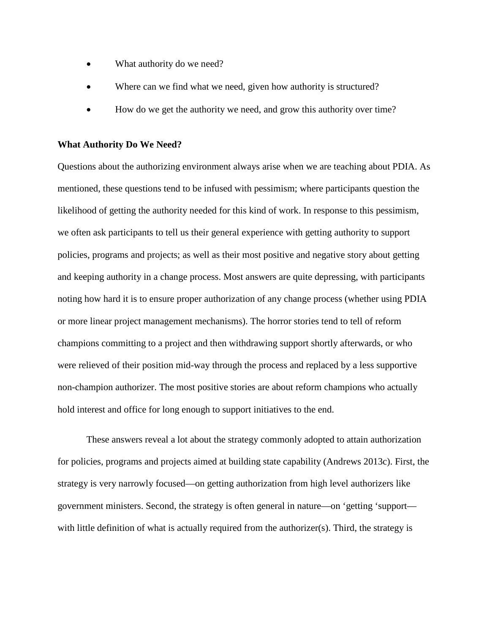- What authority do we need?
- Where can we find what we need, given how authority is structured?
- How do we get the authority we need, and grow this authority over time?

#### **What Authority Do We Need?**

Questions about the authorizing environment always arise when we are teaching about PDIA. As mentioned, these questions tend to be infused with pessimism; where participants question the likelihood of getting the authority needed for this kind of work. In response to this pessimism, we often ask participants to tell us their general experience with getting authority to support policies, programs and projects; as well as their most positive and negative story about getting and keeping authority in a change process. Most answers are quite depressing, with participants noting how hard it is to ensure proper authorization of any change process (whether using PDIA or more linear project management mechanisms). The horror stories tend to tell of reform champions committing to a project and then withdrawing support shortly afterwards, or who were relieved of their position mid-way through the process and replaced by a less supportive non-champion authorizer. The most positive stories are about reform champions who actually hold interest and office for long enough to support initiatives to the end.

These answers reveal a lot about the strategy commonly adopted to attain authorization for policies, programs and projects aimed at building state capability (Andrews 2013c). First, the strategy is very narrowly focused—on getting authorization from high level authorizers like government ministers. Second, the strategy is often general in nature—on 'getting 'support with little definition of what is actually required from the authorizer(s). Third, the strategy is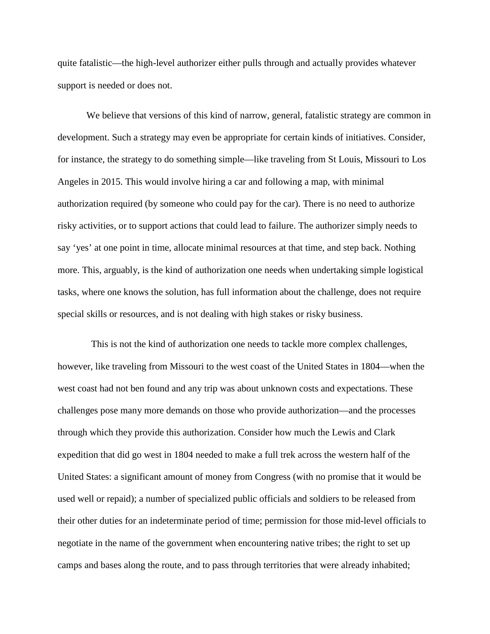quite fatalistic—the high-level authorizer either pulls through and actually provides whatever support is needed or does not.

We believe that versions of this kind of narrow, general, fatalistic strategy are common in development. Such a strategy may even be appropriate for certain kinds of initiatives. Consider, for instance, the strategy to do something simple—like traveling from St Louis, Missouri to Los Angeles in 2015. This would involve hiring a car and following a map, with minimal authorization required (by someone who could pay for the car). There is no need to authorize risky activities, or to support actions that could lead to failure. The authorizer simply needs to say 'yes' at one point in time, allocate minimal resources at that time, and step back. Nothing more. This, arguably, is the kind of authorization one needs when undertaking simple logistical tasks, where one knows the solution, has full information about the challenge, does not require special skills or resources, and is not dealing with high stakes or risky business.

 This is not the kind of authorization one needs to tackle more complex challenges, however, like traveling from Missouri to the west coast of the United States in 1804—when the west coast had not ben found and any trip was about unknown costs and expectations. These challenges pose many more demands on those who provide authorization—and the processes through which they provide this authorization. Consider how much the Lewis and Clark expedition that did go west in 1804 needed to make a full trek across the western half of the United States: a significant amount of money from Congress (with no promise that it would be used well or repaid); a number of specialized public officials and soldiers to be released from their other duties for an indeterminate period of time; permission for those mid-level officials to negotiate in the name of the government when encountering native tribes; the right to set up camps and bases along the route, and to pass through territories that were already inhabited;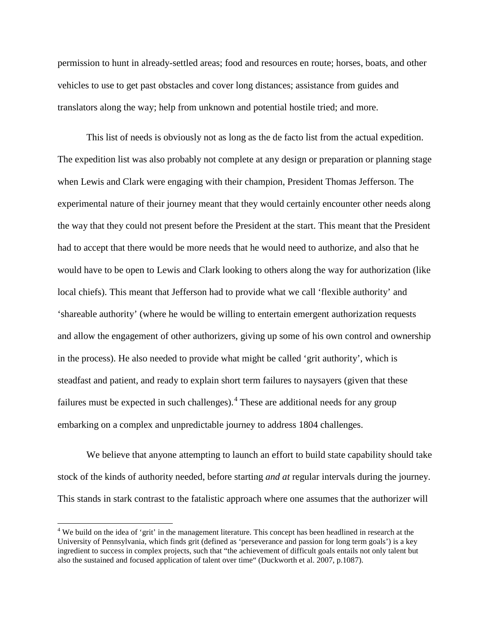permission to hunt in already-settled areas; food and resources en route; horses, boats, and other vehicles to use to get past obstacles and cover long distances; assistance from guides and translators along the way; help from unknown and potential hostile tried; and more.

This list of needs is obviously not as long as the de facto list from the actual expedition. The expedition list was also probably not complete at any design or preparation or planning stage when Lewis and Clark were engaging with their champion, President Thomas Jefferson. The experimental nature of their journey meant that they would certainly encounter other needs along the way that they could not present before the President at the start. This meant that the President had to accept that there would be more needs that he would need to authorize, and also that he would have to be open to Lewis and Clark looking to others along the way for authorization (like local chiefs). This meant that Jefferson had to provide what we call 'flexible authority' and 'shareable authority' (where he would be willing to entertain emergent authorization requests and allow the engagement of other authorizers, giving up some of his own control and ownership in the process). He also needed to provide what might be called 'grit authority', which is steadfast and patient, and ready to explain short term failures to naysayers (given that these failures must be expected in such challenges). $<sup>4</sup>$  $<sup>4</sup>$  $<sup>4</sup>$  These are additional needs for any group</sup> embarking on a complex and unpredictable journey to address 1804 challenges.

We believe that anyone attempting to launch an effort to build state capability should take stock of the kinds of authority needed, before starting *and at* regular intervals during the journey. This stands in stark contrast to the fatalistic approach where one assumes that the authorizer will

<span id="page-9-0"></span><sup>&</sup>lt;sup>4</sup> We build on the idea of 'grit' in the management literature. This concept has been headlined in research at the University of Pennsylvania, which finds grit (defined as 'perseverance and passion for long term goals') is a key ingredient to success in complex projects, such that "the achievement of difficult goals entails not only talent but also the sustained and focused application of talent over time" (Duckworth et al. 2007, p.1087).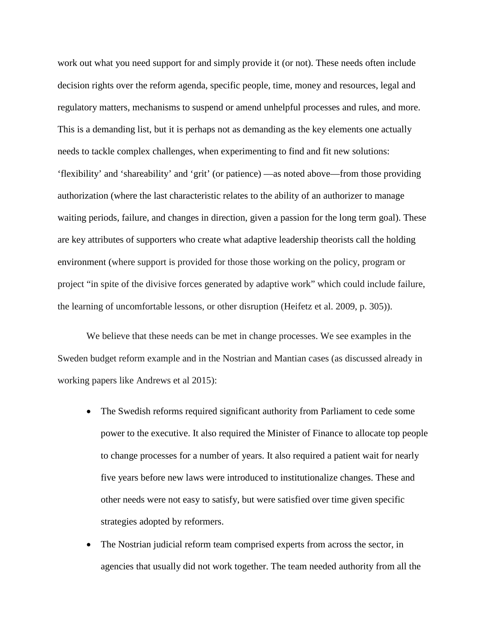work out what you need support for and simply provide it (or not). These needs often include decision rights over the reform agenda, specific people, time, money and resources, legal and regulatory matters, mechanisms to suspend or amend unhelpful processes and rules, and more. This is a demanding list, but it is perhaps not as demanding as the key elements one actually needs to tackle complex challenges, when experimenting to find and fit new solutions: 'flexibility' and 'shareability' and 'grit' (or patience) —as noted above—from those providing authorization (where the last characteristic relates to the ability of an authorizer to manage waiting periods, failure, and changes in direction, given a passion for the long term goal). These are key attributes of supporters who create what adaptive leadership theorists call the holding environment (where support is provided for those those working on the policy, program or project "in spite of the divisive forces generated by adaptive work" which could include failure, the learning of uncomfortable lessons, or other disruption (Heifetz et al. 2009, p. 305)).

We believe that these needs can be met in change processes. We see examples in the Sweden budget reform example and in the Nostrian and Mantian cases (as discussed already in working papers like Andrews et al 2015):

- The Swedish reforms required significant authority from Parliament to cede some power to the executive. It also required the Minister of Finance to allocate top people to change processes for a number of years. It also required a patient wait for nearly five years before new laws were introduced to institutionalize changes. These and other needs were not easy to satisfy, but were satisfied over time given specific strategies adopted by reformers.
- The Nostrian judicial reform team comprised experts from across the sector, in agencies that usually did not work together. The team needed authority from all the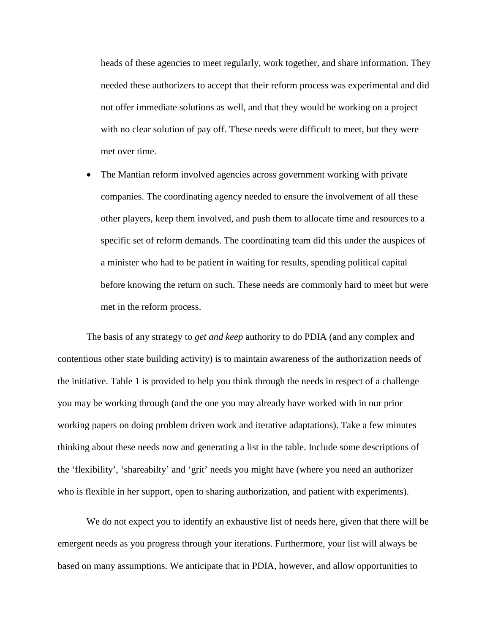heads of these agencies to meet regularly, work together, and share information. They needed these authorizers to accept that their reform process was experimental and did not offer immediate solutions as well, and that they would be working on a project with no clear solution of pay off. These needs were difficult to meet, but they were met over time.

• The Mantian reform involved agencies across government working with private companies. The coordinating agency needed to ensure the involvement of all these other players, keep them involved, and push them to allocate time and resources to a specific set of reform demands. The coordinating team did this under the auspices of a minister who had to be patient in waiting for results, spending political capital before knowing the return on such. These needs are commonly hard to meet but were met in the reform process.

The basis of any strategy to *get and keep* authority to do PDIA (and any complex and contentious other state building activity) is to maintain awareness of the authorization needs of the initiative. Table 1 is provided to help you think through the needs in respect of a challenge you may be working through (and the one you may already have worked with in our prior working papers on doing problem driven work and iterative adaptations). Take a few minutes thinking about these needs now and generating a list in the table. Include some descriptions of the 'flexibility', 'shareabilty' and 'grit' needs you might have (where you need an authorizer who is flexible in her support, open to sharing authorization, and patient with experiments).

We do not expect you to identify an exhaustive list of needs here, given that there will be emergent needs as you progress through your iterations. Furthermore, your list will always be based on many assumptions. We anticipate that in PDIA, however, and allow opportunities to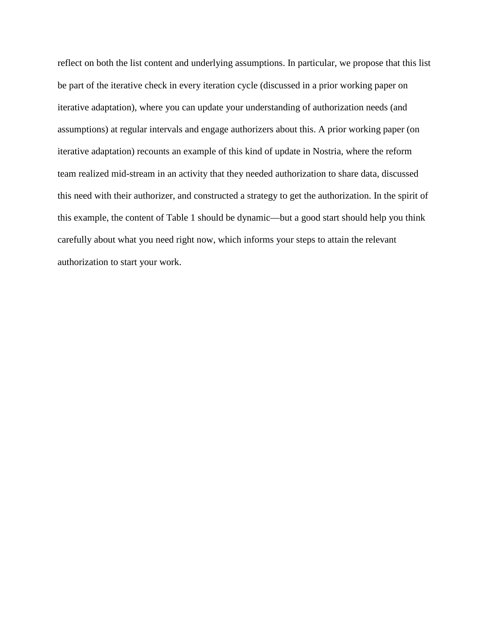reflect on both the list content and underlying assumptions. In particular, we propose that this list be part of the iterative check in every iteration cycle (discussed in a prior working paper on iterative adaptation), where you can update your understanding of authorization needs (and assumptions) at regular intervals and engage authorizers about this. A prior working paper (on iterative adaptation) recounts an example of this kind of update in Nostria, where the reform team realized mid-stream in an activity that they needed authorization to share data, discussed this need with their authorizer, and constructed a strategy to get the authorization. In the spirit of this example, the content of Table 1 should be dynamic—but a good start should help you think carefully about what you need right now, which informs your steps to attain the relevant authorization to start your work.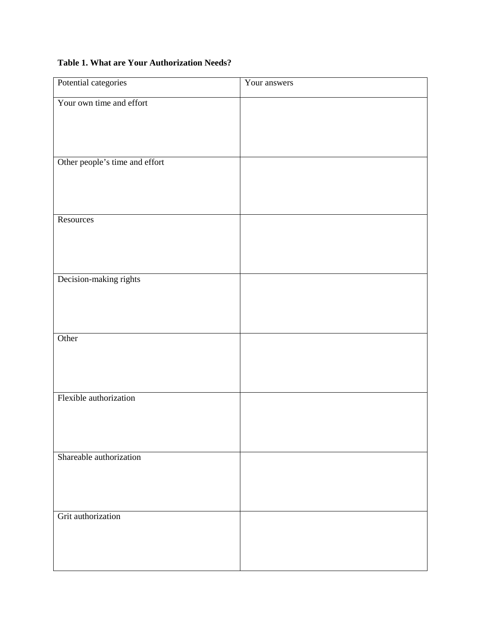# **Table 1. What are Your Authorization Needs?**

| Potential categories           | Your answers |
|--------------------------------|--------------|
| Your own time and effort       |              |
|                                |              |
|                                |              |
| Other people's time and effort |              |
|                                |              |
|                                |              |
| Resources                      |              |
|                                |              |
|                                |              |
| Decision-making rights         |              |
|                                |              |
|                                |              |
| Other                          |              |
|                                |              |
| Flexible authorization         |              |
|                                |              |
|                                |              |
|                                |              |
| Shareable authorization        |              |
|                                |              |
| Grit authorization             |              |
|                                |              |
|                                |              |
|                                |              |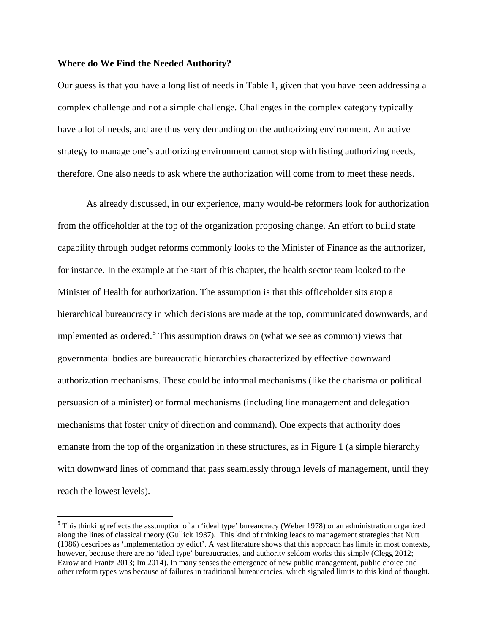## **Where do We Find the Needed Authority?**

Our guess is that you have a long list of needs in Table 1, given that you have been addressing a complex challenge and not a simple challenge. Challenges in the complex category typically have a lot of needs, and are thus very demanding on the authorizing environment. An active strategy to manage one's authorizing environment cannot stop with listing authorizing needs, therefore. One also needs to ask where the authorization will come from to meet these needs.

As already discussed, in our experience, many would-be reformers look for authorization from the officeholder at the top of the organization proposing change. An effort to build state capability through budget reforms commonly looks to the Minister of Finance as the authorizer, for instance. In the example at the start of this chapter, the health sector team looked to the Minister of Health for authorization. The assumption is that this officeholder sits atop a hierarchical bureaucracy in which decisions are made at the top, communicated downwards, and implemented as ordered.<sup>[5](#page-14-0)</sup> This assumption draws on (what we see as common) views that governmental bodies are bureaucratic hierarchies characterized by effective downward authorization mechanisms. These could be informal mechanisms (like the charisma or political persuasion of a minister) or formal mechanisms (including line management and delegation mechanisms that foster unity of direction and command). One expects that authority does emanate from the top of the organization in these structures, as in Figure 1 (a simple hierarchy with downward lines of command that pass seamlessly through levels of management, until they reach the lowest levels).

<span id="page-14-0"></span><sup>5</sup> This thinking reflects the assumption of an 'ideal type' bureaucracy (Weber 1978) or an administration organized along the lines of classical theory (Gullick 1937). This kind of thinking leads to management strategies that Nutt (1986) describes as 'implementation by edict'. A vast literature shows that this approach has limits in most contexts, however, because there are no 'ideal type' bureaucracies, and authority seldom works this simply (Clegg 2012; Ezrow and Frantz 2013; Im 2014). In many senses the emergence of new public management, public choice and other reform types was because of failures in traditional bureaucracies, which signaled limits to this kind of thought.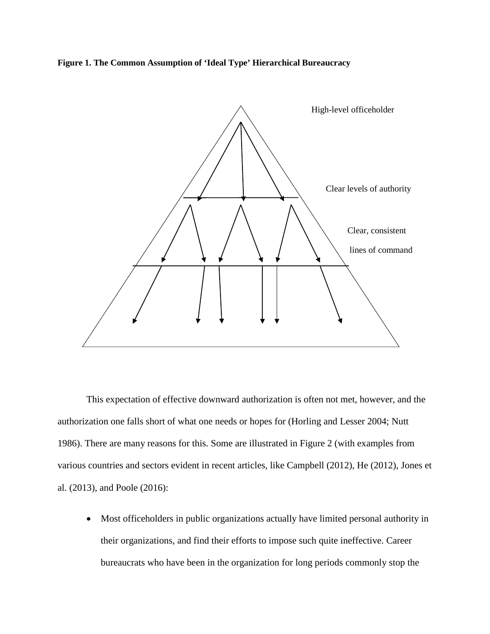



This expectation of effective downward authorization is often not met, however, and the authorization one falls short of what one needs or hopes for (Horling and Lesser 2004; Nutt 1986). There are many reasons for this. Some are illustrated in Figure 2 (with examples from various countries and sectors evident in recent articles, like Campbell (2012), He (2012), Jones et al. (2013), and Poole (2016):

• Most officeholders in public organizations actually have limited personal authority in their organizations, and find their efforts to impose such quite ineffective. Career bureaucrats who have been in the organization for long periods commonly stop the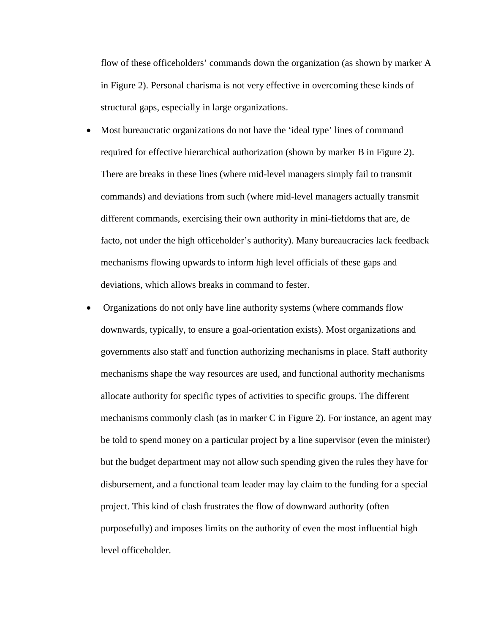flow of these officeholders' commands down the organization (as shown by marker A in Figure 2). Personal charisma is not very effective in overcoming these kinds of structural gaps, especially in large organizations.

- Most bureaucratic organizations do not have the 'ideal type' lines of command required for effective hierarchical authorization (shown by marker B in Figure 2). There are breaks in these lines (where mid-level managers simply fail to transmit commands) and deviations from such (where mid-level managers actually transmit different commands, exercising their own authority in mini-fiefdoms that are, de facto, not under the high officeholder's authority). Many bureaucracies lack feedback mechanisms flowing upwards to inform high level officials of these gaps and deviations, which allows breaks in command to fester.
- Organizations do not only have line authority systems (where commands flow downwards, typically, to ensure a goal-orientation exists). Most organizations and governments also staff and function authorizing mechanisms in place. Staff authority mechanisms shape the way resources are used, and functional authority mechanisms allocate authority for specific types of activities to specific groups. The different mechanisms commonly clash (as in marker C in Figure 2). For instance, an agent may be told to spend money on a particular project by a line supervisor (even the minister) but the budget department may not allow such spending given the rules they have for disbursement, and a functional team leader may lay claim to the funding for a special project. This kind of clash frustrates the flow of downward authority (often purposefully) and imposes limits on the authority of even the most influential high level officeholder.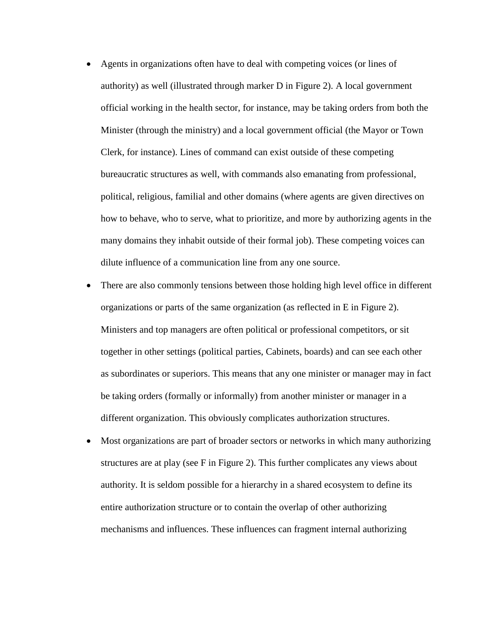- Agents in organizations often have to deal with competing voices (or lines of authority) as well (illustrated through marker D in Figure 2). A local government official working in the health sector, for instance, may be taking orders from both the Minister (through the ministry) and a local government official (the Mayor or Town Clerk, for instance). Lines of command can exist outside of these competing bureaucratic structures as well, with commands also emanating from professional, political, religious, familial and other domains (where agents are given directives on how to behave, who to serve, what to prioritize, and more by authorizing agents in the many domains they inhabit outside of their formal job). These competing voices can dilute influence of a communication line from any one source.
- There are also commonly tensions between those holding high level office in different organizations or parts of the same organization (as reflected in E in Figure 2). Ministers and top managers are often political or professional competitors, or sit together in other settings (political parties, Cabinets, boards) and can see each other as subordinates or superiors. This means that any one minister or manager may in fact be taking orders (formally or informally) from another minister or manager in a different organization. This obviously complicates authorization structures.
- Most organizations are part of broader sectors or networks in which many authorizing structures are at play (see F in Figure 2). This further complicates any views about authority. It is seldom possible for a hierarchy in a shared ecosystem to define its entire authorization structure or to contain the overlap of other authorizing mechanisms and influences. These influences can fragment internal authorizing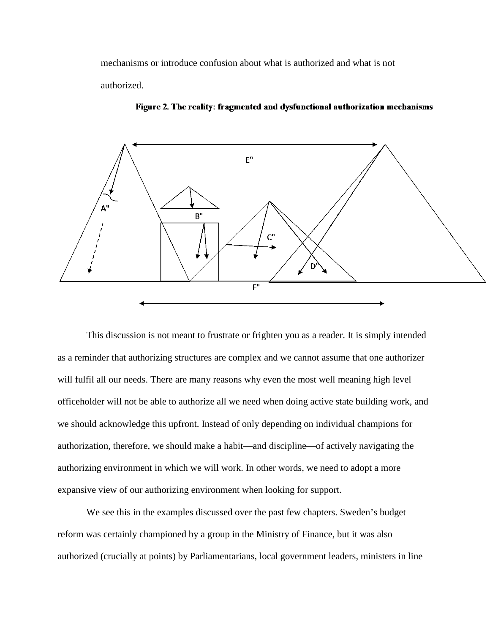mechanisms or introduce confusion about what is authorized and what is not authorized.



Figure 2. The reality: fragmented and dysfunctional authorization mechanisms

This discussion is not meant to frustrate or frighten you as a reader. It is simply intended as a reminder that authorizing structures are complex and we cannot assume that one authorizer will fulfil all our needs. There are many reasons why even the most well meaning high level officeholder will not be able to authorize all we need when doing active state building work, and we should acknowledge this upfront. Instead of only depending on individual champions for authorization, therefore, we should make a habit—and discipline—of actively navigating the authorizing environment in which we will work. In other words, we need to adopt a more expansive view of our authorizing environment when looking for support.

We see this in the examples discussed over the past few chapters. Sweden's budget reform was certainly championed by a group in the Ministry of Finance, but it was also authorized (crucially at points) by Parliamentarians, local government leaders, ministers in line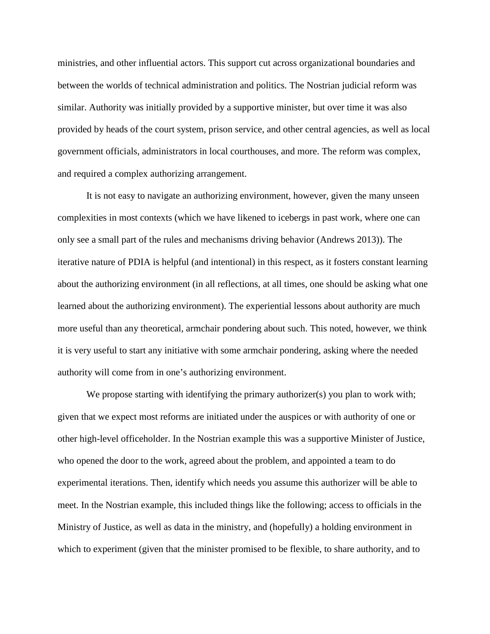ministries, and other influential actors. This support cut across organizational boundaries and between the worlds of technical administration and politics. The Nostrian judicial reform was similar. Authority was initially provided by a supportive minister, but over time it was also provided by heads of the court system, prison service, and other central agencies, as well as local government officials, administrators in local courthouses, and more. The reform was complex, and required a complex authorizing arrangement.

It is not easy to navigate an authorizing environment, however, given the many unseen complexities in most contexts (which we have likened to icebergs in past work, where one can only see a small part of the rules and mechanisms driving behavior (Andrews 2013)). The iterative nature of PDIA is helpful (and intentional) in this respect, as it fosters constant learning about the authorizing environment (in all reflections, at all times, one should be asking what one learned about the authorizing environment). The experiential lessons about authority are much more useful than any theoretical, armchair pondering about such. This noted, however, we think it is very useful to start any initiative with some armchair pondering, asking where the needed authority will come from in one's authorizing environment.

We propose starting with identifying the primary authorizer(s) you plan to work with; given that we expect most reforms are initiated under the auspices or with authority of one or other high-level officeholder. In the Nostrian example this was a supportive Minister of Justice, who opened the door to the work, agreed about the problem, and appointed a team to do experimental iterations. Then, identify which needs you assume this authorizer will be able to meet. In the Nostrian example, this included things like the following; access to officials in the Ministry of Justice, as well as data in the ministry, and (hopefully) a holding environment in which to experiment (given that the minister promised to be flexible, to share authority, and to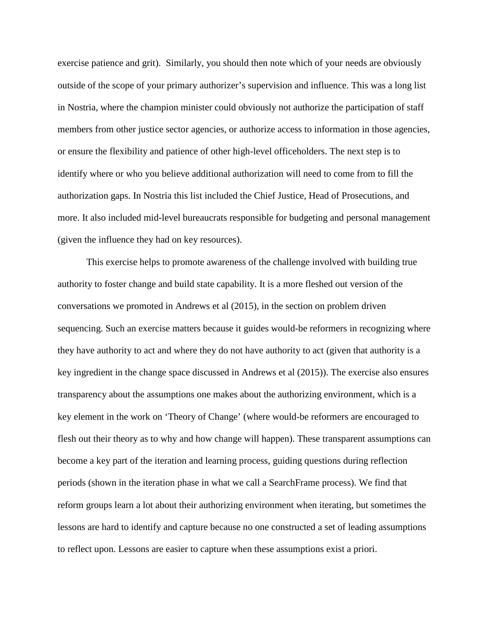exercise patience and grit). Similarly, you should then note which of your needs are obviously outside of the scope of your primary authorizer's supervision and influence. This was a long list in Nostria, where the champion minister could obviously not authorize the participation of staff members from other justice sector agencies, or authorize access to information in those agencies, or ensure the flexibility and patience of other high-level officeholders. The next step is to identify where or who you believe additional authorization will need to come from to fill the authorization gaps. In Nostria this list included the Chief Justice, Head of Prosecutions, and more. It also included mid-level bureaucrats responsible for budgeting and personal management (given the influence they had on key resources).

This exercise helps to promote awareness of the challenge involved with building true authority to foster change and build state capability. It is a more fleshed out version of the conversations we promoted in Andrews et al (2015), in the section on problem driven sequencing. Such an exercise matters because it guides would-be reformers in recognizing where they have authority to act and where they do not have authority to act (given that authority is a key ingredient in the change space discussed in Andrews et al (2015)). The exercise also ensures transparency about the assumptions one makes about the authorizing environment, which is a key element in the work on 'Theory of Change' (where would-be reformers are encouraged to flesh out their theory as to why and how change will happen). These transparent assumptions can become a key part of the iteration and learning process, guiding questions during reflection periods (shown in the iteration phase in what we call a SearchFrame process). We find that reform groups learn a lot about their authorizing environment when iterating, but sometimes the lessons are hard to identify and capture because no one constructed a set of leading assumptions to reflect upon. Lessons are easier to capture when these assumptions exist a priori.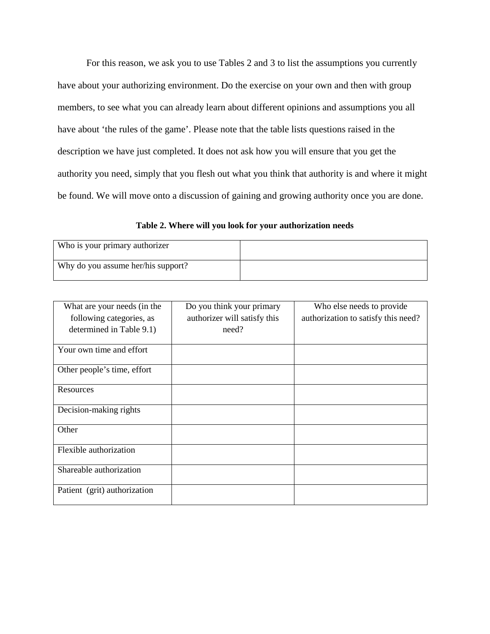For this reason, we ask you to use Tables 2 and 3 to list the assumptions you currently have about your authorizing environment. Do the exercise on your own and then with group members, to see what you can already learn about different opinions and assumptions you all have about 'the rules of the game'. Please note that the table lists questions raised in the description we have just completed. It does not ask how you will ensure that you get the authority you need, simply that you flesh out what you think that authority is and where it might be found. We will move onto a discussion of gaining and growing authority once you are done.

**Table 2. Where will you look for your authorization needs**

| Who is your primary authorizer     |  |
|------------------------------------|--|
| Why do you assume her/his support? |  |

| What are your needs (in the  | Do you think your primary    | Who else needs to provide           |
|------------------------------|------------------------------|-------------------------------------|
| following categories, as     | authorizer will satisfy this | authorization to satisfy this need? |
| determined in Table 9.1)     | need?                        |                                     |
| Your own time and effort     |                              |                                     |
| Other people's time, effort  |                              |                                     |
| Resources                    |                              |                                     |
| Decision-making rights       |                              |                                     |
| Other                        |                              |                                     |
| Flexible authorization       |                              |                                     |
| Shareable authorization      |                              |                                     |
| Patient (grit) authorization |                              |                                     |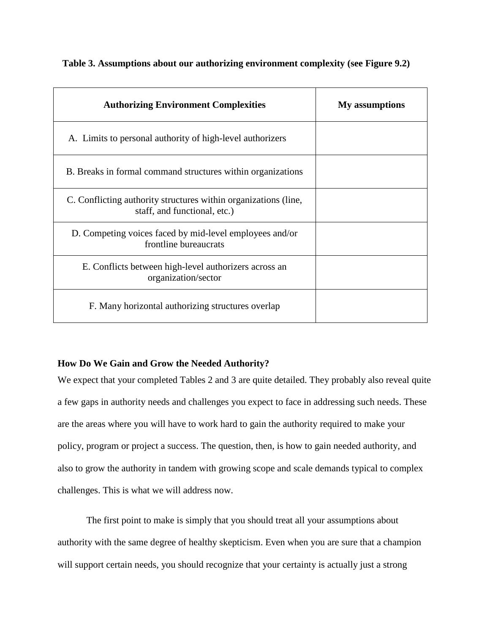|  |  |  | Table 3. Assumptions about our authorizing environment complexity (see Figure 9.2) |
|--|--|--|------------------------------------------------------------------------------------|
|  |  |  |                                                                                    |

| <b>Authorizing Environment Complexities</b>                                                     | My assumptions |
|-------------------------------------------------------------------------------------------------|----------------|
| A. Limits to personal authority of high-level authorizers                                       |                |
| B. Breaks in formal command structures within organizations                                     |                |
| C. Conflicting authority structures within organizations (line,<br>staff, and functional, etc.) |                |
| D. Competing voices faced by mid-level employees and/or<br>frontline bureaucrats                |                |
| E. Conflicts between high-level authorizers across an<br>organization/sector                    |                |
| F. Many horizontal authorizing structures overlap                                               |                |

## **How Do We Gain and Grow the Needed Authority?**

We expect that your completed Tables 2 and 3 are quite detailed. They probably also reveal quite a few gaps in authority needs and challenges you expect to face in addressing such needs. These are the areas where you will have to work hard to gain the authority required to make your policy, program or project a success. The question, then, is how to gain needed authority, and also to grow the authority in tandem with growing scope and scale demands typical to complex challenges. This is what we will address now.

The first point to make is simply that you should treat all your assumptions about authority with the same degree of healthy skepticism. Even when you are sure that a champion will support certain needs, you should recognize that your certainty is actually just a strong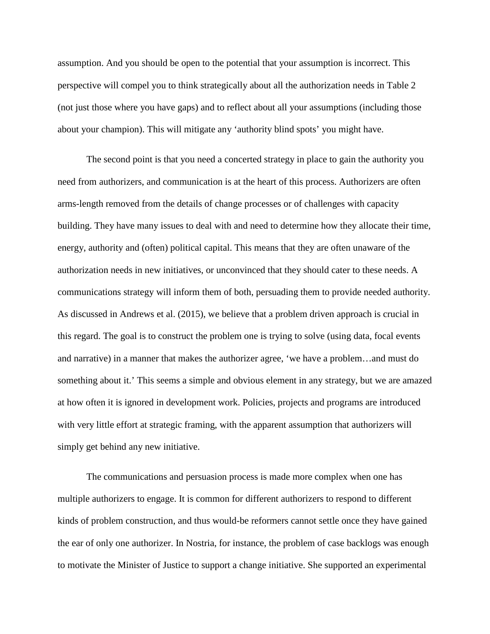assumption. And you should be open to the potential that your assumption is incorrect. This perspective will compel you to think strategically about all the authorization needs in Table 2 (not just those where you have gaps) and to reflect about all your assumptions (including those about your champion). This will mitigate any 'authority blind spots' you might have.

The second point is that you need a concerted strategy in place to gain the authority you need from authorizers, and communication is at the heart of this process. Authorizers are often arms-length removed from the details of change processes or of challenges with capacity building. They have many issues to deal with and need to determine how they allocate their time, energy, authority and (often) political capital. This means that they are often unaware of the authorization needs in new initiatives, or unconvinced that they should cater to these needs. A communications strategy will inform them of both, persuading them to provide needed authority. As discussed in Andrews et al. (2015), we believe that a problem driven approach is crucial in this regard. The goal is to construct the problem one is trying to solve (using data, focal events and narrative) in a manner that makes the authorizer agree, 'we have a problem…and must do something about it.' This seems a simple and obvious element in any strategy, but we are amazed at how often it is ignored in development work. Policies, projects and programs are introduced with very little effort at strategic framing, with the apparent assumption that authorizers will simply get behind any new initiative.

The communications and persuasion process is made more complex when one has multiple authorizers to engage. It is common for different authorizers to respond to different kinds of problem construction, and thus would-be reformers cannot settle once they have gained the ear of only one authorizer. In Nostria, for instance, the problem of case backlogs was enough to motivate the Minister of Justice to support a change initiative. She supported an experimental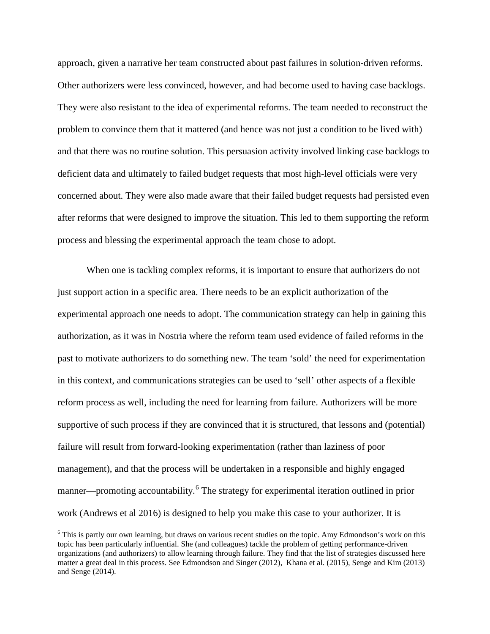approach, given a narrative her team constructed about past failures in solution-driven reforms. Other authorizers were less convinced, however, and had become used to having case backlogs. They were also resistant to the idea of experimental reforms. The team needed to reconstruct the problem to convince them that it mattered (and hence was not just a condition to be lived with) and that there was no routine solution. This persuasion activity involved linking case backlogs to deficient data and ultimately to failed budget requests that most high-level officials were very concerned about. They were also made aware that their failed budget requests had persisted even after reforms that were designed to improve the situation. This led to them supporting the reform process and blessing the experimental approach the team chose to adopt.

When one is tackling complex reforms, it is important to ensure that authorizers do not just support action in a specific area. There needs to be an explicit authorization of the experimental approach one needs to adopt. The communication strategy can help in gaining this authorization, as it was in Nostria where the reform team used evidence of failed reforms in the past to motivate authorizers to do something new. The team 'sold' the need for experimentation in this context, and communications strategies can be used to 'sell' other aspects of a flexible reform process as well, including the need for learning from failure. Authorizers will be more supportive of such process if they are convinced that it is structured, that lessons and (potential) failure will result from forward-looking experimentation (rather than laziness of poor management), and that the process will be undertaken in a responsible and highly engaged manner—promoting accountability.<sup>[6](#page-24-0)</sup> The strategy for experimental iteration outlined in prior work (Andrews et al 2016) is designed to help you make this case to your authorizer. It is

<span id="page-24-0"></span> $6$  This is partly our own learning, but draws on various recent studies on the topic. Amy Edmondson's work on this topic has been particularly influential. She (and colleagues) tackle the problem of getting performance-driven organizations (and authorizers) to allow learning through failure. They find that the list of strategies discussed here matter a great deal in this process. See Edmondson and Singer (2012), Khana et al. (2015), Senge and Kim (2013) and Senge (2014).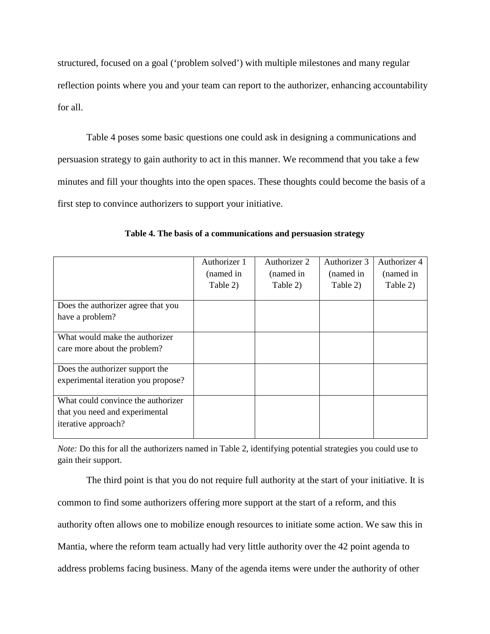structured, focused on a goal ('problem solved') with multiple milestones and many regular reflection points where you and your team can report to the authorizer, enhancing accountability for all.

Table 4 poses some basic questions one could ask in designing a communications and persuasion strategy to gain authority to act in this manner. We recommend that you take a few minutes and fill your thoughts into the open spaces. These thoughts could become the basis of a first step to convince authorizers to support your initiative.

|                                     | Authorizer 1 | Authorizer 2 | Authorizer 3 | Authorizer 4 |
|-------------------------------------|--------------|--------------|--------------|--------------|
|                                     | (named in    | (named in    | (named in    | (named in    |
|                                     | Table 2)     | Table 2)     | Table 2)     | Table 2)     |
|                                     |              |              |              |              |
| Does the authorizer agree that you  |              |              |              |              |
| have a problem?                     |              |              |              |              |
|                                     |              |              |              |              |
| What would make the authorizer      |              |              |              |              |
| care more about the problem?        |              |              |              |              |
|                                     |              |              |              |              |
| Does the authorizer support the     |              |              |              |              |
| experimental iteration you propose? |              |              |              |              |
|                                     |              |              |              |              |
| What could convince the authorizer  |              |              |              |              |
| that you need and experimental      |              |              |              |              |
| iterative approach?                 |              |              |              |              |
|                                     |              |              |              |              |

**Table 4. The basis of a communications and persuasion strategy**

*Note:* Do this for all the authorizers named in Table 2, identifying potential strategies you could use to gain their support.

The third point is that you do not require full authority at the start of your initiative. It is common to find some authorizers offering more support at the start of a reform, and this authority often allows one to mobilize enough resources to initiate some action. We saw this in Mantia, where the reform team actually had very little authority over the 42 point agenda to address problems facing business. Many of the agenda items were under the authority of other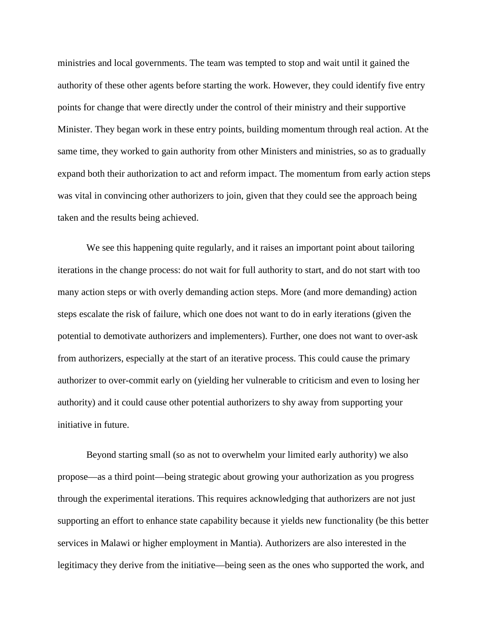ministries and local governments. The team was tempted to stop and wait until it gained the authority of these other agents before starting the work. However, they could identify five entry points for change that were directly under the control of their ministry and their supportive Minister. They began work in these entry points, building momentum through real action. At the same time, they worked to gain authority from other Ministers and ministries, so as to gradually expand both their authorization to act and reform impact. The momentum from early action steps was vital in convincing other authorizers to join, given that they could see the approach being taken and the results being achieved.

We see this happening quite regularly, and it raises an important point about tailoring iterations in the change process: do not wait for full authority to start, and do not start with too many action steps or with overly demanding action steps. More (and more demanding) action steps escalate the risk of failure, which one does not want to do in early iterations (given the potential to demotivate authorizers and implementers). Further, one does not want to over-ask from authorizers, especially at the start of an iterative process. This could cause the primary authorizer to over-commit early on (yielding her vulnerable to criticism and even to losing her authority) and it could cause other potential authorizers to shy away from supporting your initiative in future.

Beyond starting small (so as not to overwhelm your limited early authority) we also propose—as a third point—being strategic about growing your authorization as you progress through the experimental iterations. This requires acknowledging that authorizers are not just supporting an effort to enhance state capability because it yields new functionality (be this better services in Malawi or higher employment in Mantia). Authorizers are also interested in the legitimacy they derive from the initiative—being seen as the ones who supported the work, and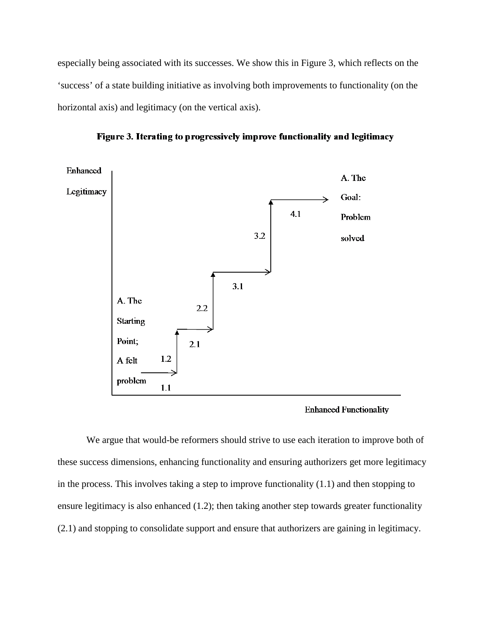especially being associated with its successes. We show this in Figure 3, which reflects on the 'success' of a state building initiative as involving both improvements to functionality (on the horizontal axis) and legitimacy (on the vertical axis).



Figure 3. Iterating to progressively improve functionality and legitimacy

**Enhanced Functionality** 

We argue that would-be reformers should strive to use each iteration to improve both of these success dimensions, enhancing functionality and ensuring authorizers get more legitimacy in the process. This involves taking a step to improve functionality (1.1) and then stopping to ensure legitimacy is also enhanced (1.2); then taking another step towards greater functionality (2.1) and stopping to consolidate support and ensure that authorizers are gaining in legitimacy.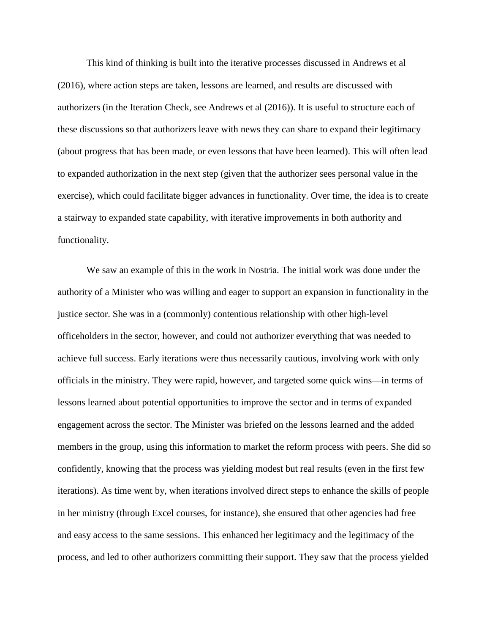This kind of thinking is built into the iterative processes discussed in Andrews et al (2016), where action steps are taken, lessons are learned, and results are discussed with authorizers (in the Iteration Check, see Andrews et al (2016)). It is useful to structure each of these discussions so that authorizers leave with news they can share to expand their legitimacy (about progress that has been made, or even lessons that have been learned). This will often lead to expanded authorization in the next step (given that the authorizer sees personal value in the exercise), which could facilitate bigger advances in functionality. Over time, the idea is to create a stairway to expanded state capability, with iterative improvements in both authority and functionality.

We saw an example of this in the work in Nostria. The initial work was done under the authority of a Minister who was willing and eager to support an expansion in functionality in the justice sector. She was in a (commonly) contentious relationship with other high-level officeholders in the sector, however, and could not authorizer everything that was needed to achieve full success. Early iterations were thus necessarily cautious, involving work with only officials in the ministry. They were rapid, however, and targeted some quick wins—in terms of lessons learned about potential opportunities to improve the sector and in terms of expanded engagement across the sector. The Minister was briefed on the lessons learned and the added members in the group, using this information to market the reform process with peers. She did so confidently, knowing that the process was yielding modest but real results (even in the first few iterations). As time went by, when iterations involved direct steps to enhance the skills of people in her ministry (through Excel courses, for instance), she ensured that other agencies had free and easy access to the same sessions. This enhanced her legitimacy and the legitimacy of the process, and led to other authorizers committing their support. They saw that the process yielded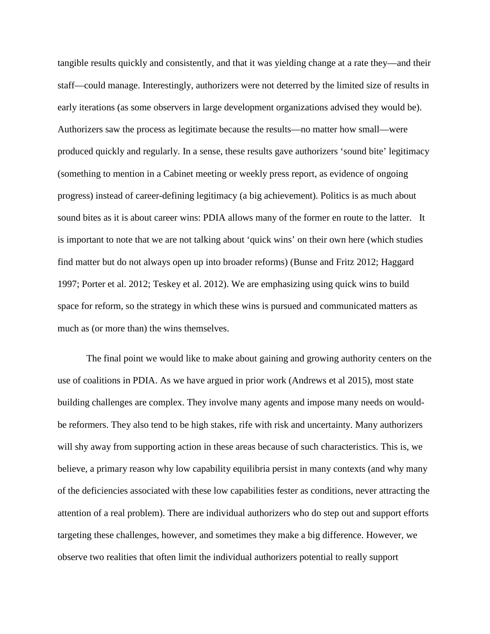tangible results quickly and consistently, and that it was yielding change at a rate they—and their staff—could manage. Interestingly, authorizers were not deterred by the limited size of results in early iterations (as some observers in large development organizations advised they would be). Authorizers saw the process as legitimate because the results—no matter how small—were produced quickly and regularly. In a sense, these results gave authorizers 'sound bite' legitimacy (something to mention in a Cabinet meeting or weekly press report, as evidence of ongoing progress) instead of career-defining legitimacy (a big achievement). Politics is as much about sound bites as it is about career wins: PDIA allows many of the former en route to the latter. It is important to note that we are not talking about 'quick wins' on their own here (which studies find matter but do not always open up into broader reforms) (Bunse and Fritz 2012; Haggard 1997; Porter et al. 2012; Teskey et al. 2012). We are emphasizing using quick wins to build space for reform, so the strategy in which these wins is pursued and communicated matters as much as (or more than) the wins themselves.

The final point we would like to make about gaining and growing authority centers on the use of coalitions in PDIA. As we have argued in prior work (Andrews et al 2015), most state building challenges are complex. They involve many agents and impose many needs on wouldbe reformers. They also tend to be high stakes, rife with risk and uncertainty. Many authorizers will shy away from supporting action in these areas because of such characteristics. This is, we believe, a primary reason why low capability equilibria persist in many contexts (and why many of the deficiencies associated with these low capabilities fester as conditions, never attracting the attention of a real problem). There are individual authorizers who do step out and support efforts targeting these challenges, however, and sometimes they make a big difference. However, we observe two realities that often limit the individual authorizers potential to really support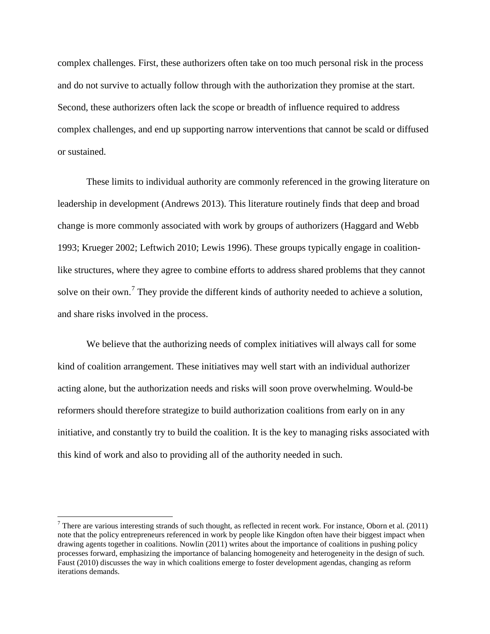complex challenges. First, these authorizers often take on too much personal risk in the process and do not survive to actually follow through with the authorization they promise at the start. Second, these authorizers often lack the scope or breadth of influence required to address complex challenges, and end up supporting narrow interventions that cannot be scald or diffused or sustained.

These limits to individual authority are commonly referenced in the growing literature on leadership in development (Andrews 2013). This literature routinely finds that deep and broad change is more commonly associated with work by groups of authorizers (Haggard and Webb 1993; Krueger 2002; Leftwich 2010; Lewis 1996). These groups typically engage in coalitionlike structures, where they agree to combine efforts to address shared problems that they cannot solve on their own.<sup>[7](#page-30-0)</sup> They provide the different kinds of authority needed to achieve a solution, and share risks involved in the process.

We believe that the authorizing needs of complex initiatives will always call for some kind of coalition arrangement. These initiatives may well start with an individual authorizer acting alone, but the authorization needs and risks will soon prove overwhelming. Would-be reformers should therefore strategize to build authorization coalitions from early on in any initiative, and constantly try to build the coalition. It is the key to managing risks associated with this kind of work and also to providing all of the authority needed in such.

<span id="page-30-0"></span> $^7$  There are various interesting strands of such thought, as reflected in recent work. For instance, Oborn et al. (2011) note that the policy entrepreneurs referenced in work by people like Kingdon often have their biggest impact when drawing agents together in coalitions. Nowlin (2011) writes about the importance of coalitions in pushing policy processes forward, emphasizing the importance of balancing homogeneity and heterogeneity in the design of such. Faust (2010) discusses the way in which coalitions emerge to foster development agendas, changing as reform iterations demands.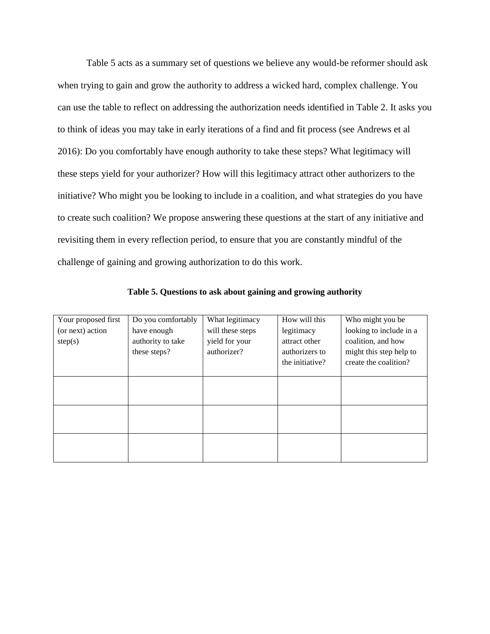Table 5 acts as a summary set of questions we believe any would-be reformer should ask when trying to gain and grow the authority to address a wicked hard, complex challenge. You can use the table to reflect on addressing the authorization needs identified in Table 2. It asks you to think of ideas you may take in early iterations of a find and fit process (see Andrews et al 2016): Do you comfortably have enough authority to take these steps? What legitimacy will these steps yield for your authorizer? How will this legitimacy attract other authorizers to the initiative? Who might you be looking to include in a coalition, and what strategies do you have to create such coalition? We propose answering these questions at the start of any initiative and revisiting them in every reflection period, to ensure that you are constantly mindful of the challenge of gaining and growing authorization to do this work.

| Your proposed first | Do you comfortably | What legitimacy  | How will this   | Who might you be        |
|---------------------|--------------------|------------------|-----------------|-------------------------|
| (or next) action    | have enough        | will these steps | legitimacy      | looking to include in a |
| step(s)             | authority to take  | yield for your   | attract other   | coalition, and how      |
|                     | these steps?       | authorizer?      | authorizers to  | might this step help to |
|                     |                    |                  | the initiative? | create the coalition?   |
|                     |                    |                  |                 |                         |
|                     |                    |                  |                 |                         |
|                     |                    |                  |                 |                         |
|                     |                    |                  |                 |                         |
|                     |                    |                  |                 |                         |
|                     |                    |                  |                 |                         |
|                     |                    |                  |                 |                         |
|                     |                    |                  |                 |                         |
|                     |                    |                  |                 |                         |

**Table 5. Questions to ask about gaining and growing authority**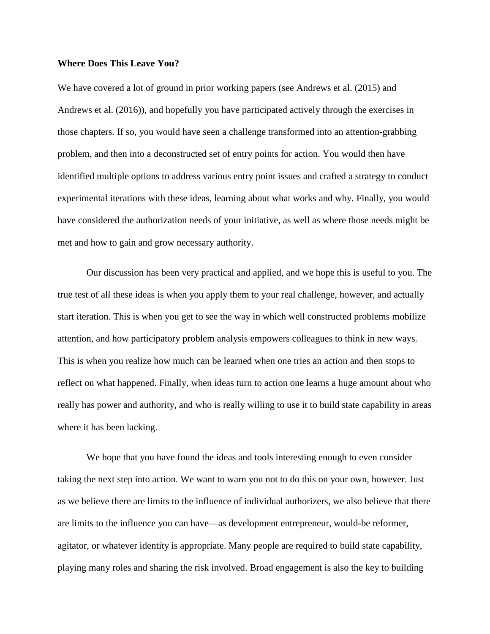## **Where Does This Leave You?**

We have covered a lot of ground in prior working papers (see Andrews et al. (2015) and Andrews et al. (2016)), and hopefully you have participated actively through the exercises in those chapters. If so, you would have seen a challenge transformed into an attention-grabbing problem, and then into a deconstructed set of entry points for action. You would then have identified multiple options to address various entry point issues and crafted a strategy to conduct experimental iterations with these ideas, learning about what works and why. Finally, you would have considered the authorization needs of your initiative, as well as where those needs might be met and how to gain and grow necessary authority.

Our discussion has been very practical and applied, and we hope this is useful to you. The true test of all these ideas is when you apply them to your real challenge, however, and actually start iteration. This is when you get to see the way in which well constructed problems mobilize attention, and how participatory problem analysis empowers colleagues to think in new ways. This is when you realize how much can be learned when one tries an action and then stops to reflect on what happened. Finally, when ideas turn to action one learns a huge amount about who really has power and authority, and who is really willing to use it to build state capability in areas where it has been lacking.

We hope that you have found the ideas and tools interesting enough to even consider taking the next step into action. We want to warn you not to do this on your own, however. Just as we believe there are limits to the influence of individual authorizers, we also believe that there are limits to the influence you can have—as development entrepreneur, would-be reformer, agitator, or whatever identity is appropriate. Many people are required to build state capability, playing many roles and sharing the risk involved. Broad engagement is also the key to building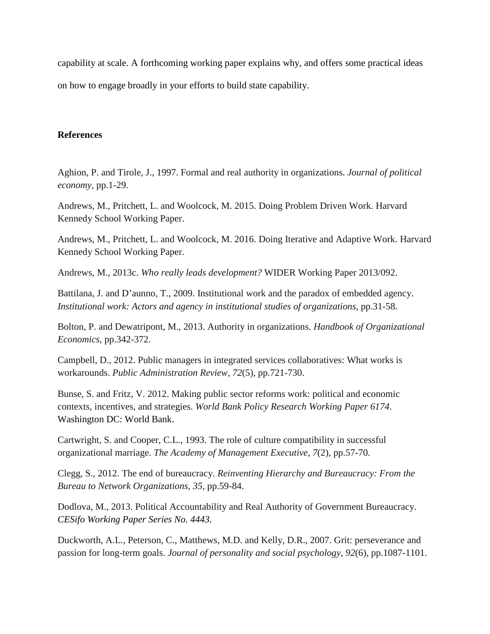capability at scale. A forthcoming working paper explains why, and offers some practical ideas on how to engage broadly in your efforts to build state capability.

## **References**

Aghion, P. and Tirole, J., 1997. Formal and real authority in organizations. *Journal of political economy*, pp.1-29.

Andrews, M., Pritchett, L. and Woolcock, M. 2015. Doing Problem Driven Work. Harvard Kennedy School Working Paper.

Andrews, M., Pritchett, L. and Woolcock, M. 2016. Doing Iterative and Adaptive Work. Harvard Kennedy School Working Paper.

Andrews, M., 2013c. *Who really leads development?* WIDER Working Paper 2013/092.

Battilana, J. and D'aunno, T., 2009. Institutional work and the paradox of embedded agency. *Institutional work: Actors and agency in institutional studies of organizations*, pp.31-58.

Bolton, P. and Dewatripont, M., 2013. Authority in organizations. *Handbook of Organizational Economics*, pp.342-372.

Campbell, D., 2012. Public managers in integrated services collaboratives: What works is workarounds. *Public Administration Review*, *72*(5), pp.721-730.

Bunse, S. and Fritz, V. 2012. Making public sector reforms work: political and economic contexts, incentives, and strategies. *World Bank Policy Research Working Paper 6174*. Washington DC: World Bank.

Cartwright, S. and Cooper, C.L., 1993. The role of culture compatibility in successful organizational marriage. *The Academy of Management Executive*, *7*(2), pp.57-70.

Clegg, S., 2012. The end of bureaucracy. *Reinventing Hierarchy and Bureaucracy: From the Bureau to Network Organizations*, *35*, pp.59-84.

Dodlova, M., 2013. Political Accountability and Real Authority of Government Bureaucracy. *CESifo Working Paper Series No. 4443.*

Duckworth, A.L., Peterson, C., Matthews, M.D. and Kelly, D.R., 2007. Grit: perseverance and passion for long-term goals. *Journal of personality and social psychology*, *92*(6), pp.1087-1101.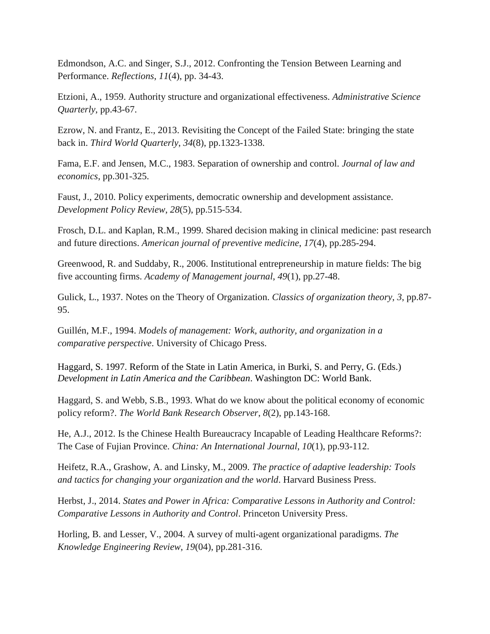Edmondson, A.C. and Singer, S.J., 2012. Confronting the Tension Between Learning and Performance. *Reflections*, *11*(4), pp. 34-43.

Etzioni, A., 1959. Authority structure and organizational effectiveness. *Administrative Science Quarterly*, pp.43-67.

Ezrow, N. and Frantz, E., 2013. Revisiting the Concept of the Failed State: bringing the state back in. *Third World Quarterly*, *34*(8), pp.1323-1338.

Fama, E.F. and Jensen, M.C., 1983. Separation of ownership and control. *Journal of law and economics*, pp.301-325.

Faust, J., 2010. Policy experiments, democratic ownership and development assistance. *Development Policy Review*, *28*(5), pp.515-534.

Frosch, D.L. and Kaplan, R.M., 1999. Shared decision making in clinical medicine: past research and future directions. *American journal of preventive medicine*, *17*(4), pp.285-294.

Greenwood, R. and Suddaby, R., 2006. Institutional entrepreneurship in mature fields: The big five accounting firms. *Academy of Management journal*, *49*(1), pp.27-48.

Gulick, L., 1937. Notes on the Theory of Organization. *Classics of organization theory*, *3*, pp.87- 95.

Guillén, M.F., 1994. *Models of management: Work, authority, and organization in a comparative perspective*. University of Chicago Press.

Haggard, S. 1997. Reform of the State in Latin America, in Burki, S. and Perry, G. (Eds.) *Development in Latin America and the Caribbean*. Washington DC: World Bank.

Haggard, S. and Webb, S.B., 1993. What do we know about the political economy of economic policy reform?. *The World Bank Research Observer*, *8*(2), pp.143-168.

He, A.J., 2012. Is the Chinese Health Bureaucracy Incapable of Leading Healthcare Reforms?: The Case of Fujian Province. *China: An International Journal*, *10*(1), pp.93-112.

Heifetz, R.A., Grashow, A. and Linsky, M., 2009. *The practice of adaptive leadership: Tools and tactics for changing your organization and the world*. Harvard Business Press.

Herbst, J., 2014. *States and Power in Africa: Comparative Lessons in Authority and Control: Comparative Lessons in Authority and Control*. Princeton University Press.

Horling, B. and Lesser, V., 2004. A survey of multi-agent organizational paradigms. *The Knowledge Engineering Review*, *19*(04), pp.281-316.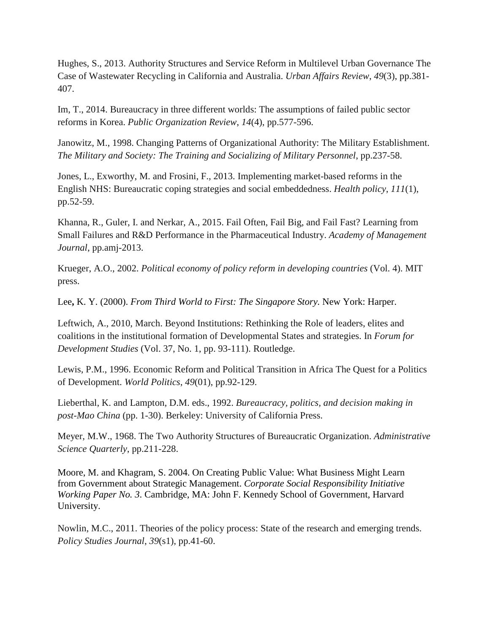Hughes, S., 2013. Authority Structures and Service Reform in Multilevel Urban Governance The Case of Wastewater Recycling in California and Australia. *Urban Affairs Review*, *49*(3), pp.381- 407.

Im, T., 2014. Bureaucracy in three different worlds: The assumptions of failed public sector reforms in Korea. *Public Organization Review*, *14*(4), pp.577-596.

Janowitz, M., 1998. Changing Patterns of Organizational Authority: The Military Establishment. *The Military and Society: The Training and Socializing of Military Personnel*, pp.237-58.

Jones, L., Exworthy, M. and Frosini, F., 2013. Implementing market-based reforms in the English NHS: Bureaucratic coping strategies and social embeddedness. *Health policy*, *111*(1), pp.52-59.

Khanna, R., Guler, I. and Nerkar, A., 2015. Fail Often, Fail Big, and Fail Fast? Learning from Small Failures and R&D Performance in the Pharmaceutical Industry. *Academy of Management Journal*, pp.amj-2013.

Krueger, A.O., 2002. *Political economy of policy reform in developing countries* (Vol. 4). MIT press.

Lee**,** K. Y. (2000). *From Third World to First: The Singapore Story.* New York: Harper.

Leftwich, A., 2010, March. Beyond Institutions: Rethinking the Role of leaders, elites and coalitions in the institutional formation of Developmental States and strategies. In *Forum for Development Studies* (Vol. 37, No. 1, pp. 93-111). Routledge.

Lewis, P.M., 1996. Economic Reform and Political Transition in Africa The Quest for a Politics of Development. *World Politics*, *49*(01), pp.92-129.

Lieberthal, K. and Lampton, D.M. eds., 1992. *Bureaucracy, politics, and decision making in post-Mao China* (pp. 1-30). Berkeley: University of California Press.

Meyer, M.W., 1968. The Two Authority Structures of Bureaucratic Organization. *Administrative Science Quarterly*, pp.211-228.

Moore, M. and Khagram, S. 2004. On Creating Public Value: What Business Might Learn from Government about Strategic Management. *Corporate Social Responsibility Initiative Working Paper No. 3*. Cambridge, MA: John F. Kennedy School of Government, Harvard University.

Nowlin, M.C., 2011. Theories of the policy process: State of the research and emerging trends. *Policy Studies Journal*, *39*(s1), pp.41-60.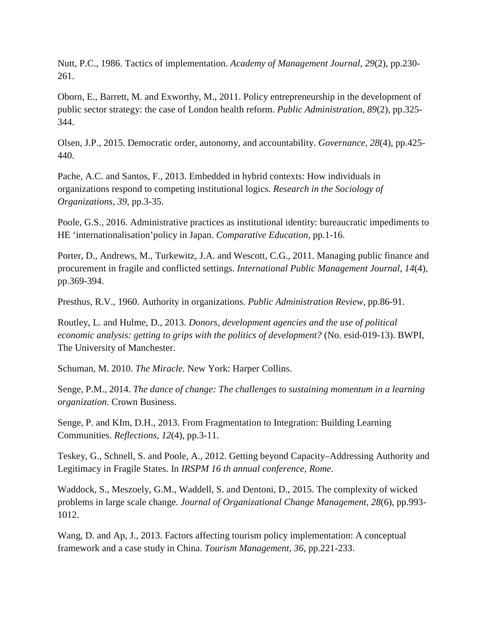Nutt, P.C., 1986. Tactics of implementation. *Academy of Management Journal*, *29*(2), pp.230- 261.

Oborn, E., Barrett, M. and Exworthy, M., 2011. Policy entrepreneurship in the development of public sector strategy: the case of London health reform. *Public Administration*, *89*(2), pp.325- 344.

Olsen, J.P., 2015. Democratic order, autonomy, and accountability. *Governance*, *28*(4), pp.425- 440.

Pache, A.C. and Santos, F., 2013. Embedded in hybrid contexts: How individuals in organizations respond to competing institutional logics. *Research in the Sociology of Organizations*, *39*, pp.3-35.

Poole, G.S., 2016. Administrative practices as institutional identity: bureaucratic impediments to HE 'internationalisation'policy in Japan. *Comparative Education*, pp.1-16.

Porter, D., Andrews, M., Turkewitz, J.A. and Wescott, C.G., 2011. Managing public finance and procurement in fragile and conflicted settings. *International Public Management Journal*, *14*(4), pp.369-394.

Presthus, R.V., 1960. Authority in organizations. *Public Administration Review*, pp.86-91.

Routley, L. and Hulme, D., 2013. *Donors, development agencies and the use of political economic analysis: getting to grips with the politics of development?* (No. esid-019-13). BWPI, The University of Manchester.

Schuman, M. 2010. *The Miracle.* New York: Harper Collins.

Senge, P.M., 2014. *The dance of change: The challenges to sustaining momentum in a learning organization*. Crown Business.

Senge, P. and KIm, D.H., 2013. From Fragmentation to Integration: Building Learning Communities. *Reflections*, *12*(4), pp.3-11.

Teskey, G., Schnell, S. and Poole, A., 2012. Getting beyond Capacity–Addressing Authority and Legitimacy in Fragile States. In *IRSPM 16 th annual conference, Rome*.

Waddock, S., Meszoely, G.M., Waddell, S. and Dentoni, D., 2015. The complexity of wicked problems in large scale change. *Journal of Organizational Change Management*, *28*(6), pp.993- 1012.

Wang, D. and Ap, J., 2013. Factors affecting tourism policy implementation: A conceptual framework and a case study in China. *Tourism Management*, *36*, pp.221-233.